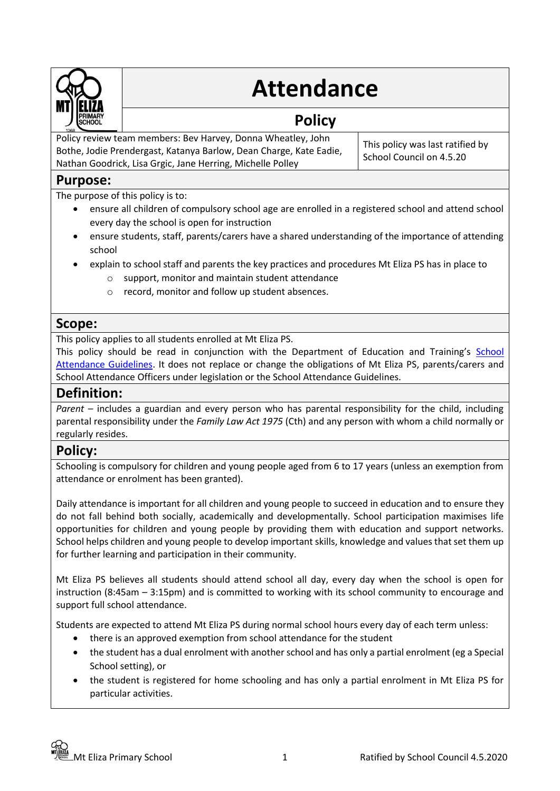

# **Attendance**

## **Policy**

Policy review team members: Bev Harvey, Donna Wheatley, John Bothe, Jodie Prendergast, Katanya Barlow, Dean Charge, Kate Eadie, Nathan Goodrick, Lisa Grgic, Jane Herring, Michelle Polley

This policy was last ratified by School Council on 4.5.20

## **Purpose:**

The purpose of this policy is to:

- ensure all children of compulsory school age are enrolled in a registered school and attend school every day the school is open for instruction
- ensure students, staff, parents/carers have a shared understanding of the importance of attending school
- explain to school staff and parents the key practices and procedures Mt Eliza PS has in place to
	- o support, monitor and maintain student attendance
	- o record, monitor and follow up student absences.

## **Scope:**

This policy applies to all students enrolled at Mt Eliza PS.

This policy should be read in conjunction with the Department of Education and Training's [School](http://www.education.vic.gov.au/school/teachers/studentmanagement/Pages/attendance.aspx)  [Attendance Guidelines.](http://www.education.vic.gov.au/school/teachers/studentmanagement/Pages/attendance.aspx) It does not replace or change the obligations of Mt Eliza PS, parents/carers and School Attendance Officers under legislation or the School Attendance Guidelines.

## **Definition:**

*Parent* – includes a guardian and every person who has parental responsibility for the child, including parental responsibility under the *Family Law Act 1975* (Cth) and any person with whom a child normally or regularly resides.

## **Policy:**

Schooling is compulsory for children and young people aged from 6 to 17 years (unless an exemption from attendance or enrolment has been granted).

Daily attendance is important for all children and young people to succeed in education and to ensure they do not fall behind both socially, academically and developmentally. School participation maximises life opportunities for children and young people by providing them with education and support networks. School helps children and young people to develop important skills, knowledge and values that set them up for further learning and participation in their community.

Mt Eliza PS believes all students should attend school all day, every day when the school is open for instruction (8:45am – 3:15pm) and is committed to working with its school community to encourage and support full school attendance.

Students are expected to attend Mt Eliza PS during normal school hours every day of each term unless:

- there is an approved exemption from school attendance for the student
- the student has a dual enrolment with another school and has only a partial enrolment (eg a Special School setting), or
- the student is registered for home schooling and has only a partial enrolment in Mt Eliza PS for particular activities.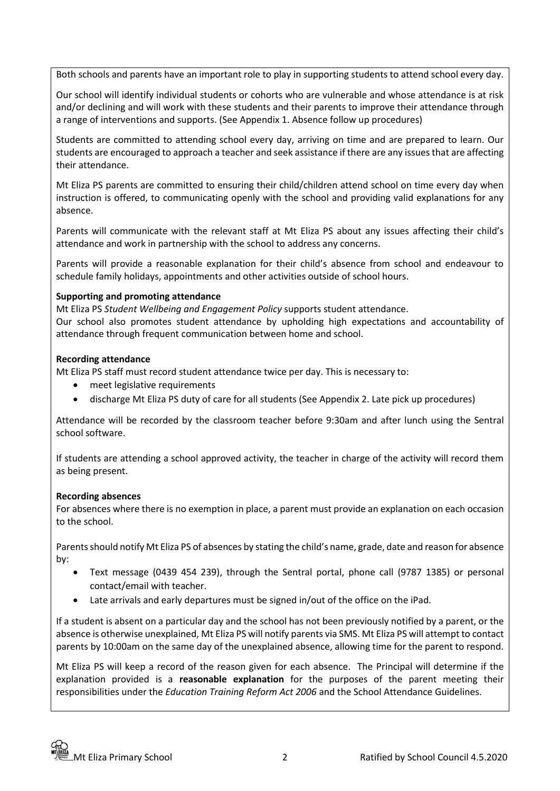Both schools and parents have an important role to play in supporting students to attend school every day.

Our school will identify individual students or cohorts who are vulnerable and whose attendance is at risk and/or declining and will work with these students and their parents to improve their attendance through a range of interventions and supports. (See Appendix 1. Absence follow up procedures)

Students are committed to attending school every day, arriving on time and are prepared to learn. Our students are encouraged to approach a teacher and seek assistance if there are any issues that are affecting their attendance.

Mt Eliza PS parents are committed to ensuring their child/children attend school on time every day when instruction is offered, to communicating openly with the school and providing valid explanations for any absence.

Parents will communicate with the relevant staff at Mt Eliza PS about any issues affecting their child's attendance and work in partnership with the school to address any concerns.

Parents will provide a reasonable explanation for their child's absence from school and endeavour to schedule family holidays, appointments and other activities outside of school hours.

#### **Supporting and promoting attendance**

Mt Eliza PS *Student Wellbeing and Engagement Policy* supports student attendance.

Our school also promotes student attendance by upholding high expectations and accountability of attendance through frequent communication between home and school.

#### **Recording attendance**

Mt Eliza PS staff must record student attendance twice per day. This is necessary to:

- meet legislative requirements
- discharge Mt Eliza PS duty of care for all students (See Appendix 2. Late pick up procedures)

Attendance will be recorded by the classroom teacher before 9:30am and after lunch using the Sentral school software.

If students are attending a school approved activity, the teacher in charge of the activity will record them as being present.

#### **Recording absences**

For absences where there is no exemption in place, a parent must provide an explanation on each occasion to the school.

Parents should notify Mt Eliza PS of absences by stating the child's name, grade, date and reason for absence by:

- Text message (0439 454 239), through the Sentral portal, phone call (9787 1385) or personal contact/email with teacher.
- Late arrivals and early departures must be signed in/out of the office on the iPad.

If a student is absent on a particular day and the school has not been previously notified by a parent, or the absence is otherwise unexplained, Mt Eliza PS will notify parents via SMS. Mt Eliza PS will attempt to contact parents by 10:00am on the same day of the unexplained absence, allowing time for the parent to respond.

Mt Eliza PS will keep a record of the reason given for each absence. The Principal will determine if the explanation provided is a **reasonable explanation** for the purposes of the parent meeting their responsibilities under the *Education Training Reform Act 2006* and the School Attendance Guidelines.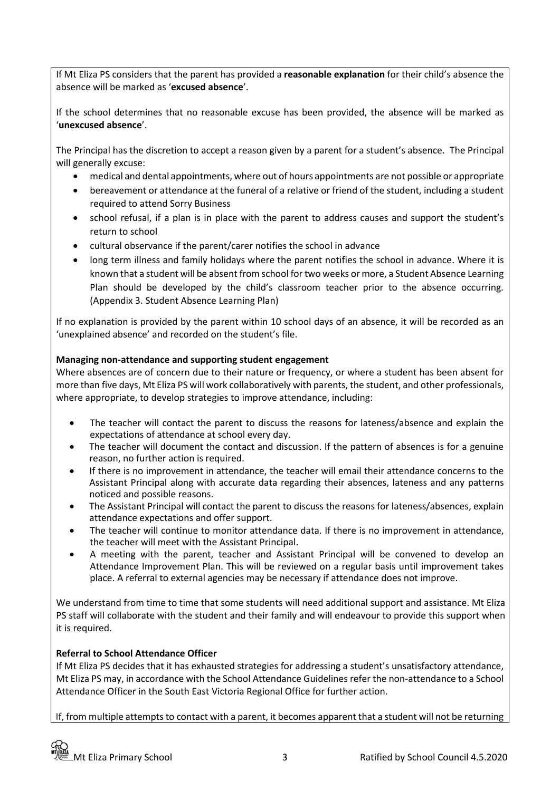If Mt Eliza PS considers that the parent has provided a **reasonable explanation** for their child's absence the absence will be marked as '**excused absence**'.

If the school determines that no reasonable excuse has been provided, the absence will be marked as '**unexcused absence**'.

The Principal has the discretion to accept a reason given by a parent for a student's absence. The Principal will generally excuse:

- medical and dental appointments, where out of hours appointments are not possible or appropriate
- bereavement or attendance at the funeral of a relative or friend of the student, including a student required to attend Sorry Business
- school refusal, if a plan is in place with the parent to address causes and support the student's return to school
- cultural observance if the parent/carer notifies the school in advance
- long term illness and family holidays where the parent notifies the school in advance. Where it is known that a student will be absent from school for two weeks or more, a Student Absence Learning Plan should be developed by the child's classroom teacher prior to the absence occurring. (Appendix 3. Student Absence Learning Plan)

If no explanation is provided by the parent within 10 school days of an absence, it will be recorded as an 'unexplained absence' and recorded on the student's file.

#### **Managing non-attendance and supporting student engagement**

Where absences are of concern due to their nature or frequency, or where a student has been absent for more than five days, Mt Eliza PS will work collaboratively with parents, the student, and other professionals, where appropriate, to develop strategies to improve attendance, including:

- The teacher will contact the parent to discuss the reasons for lateness/absence and explain the expectations of attendance at school every day.
- The teacher will document the contact and discussion. If the pattern of absences is for a genuine reason, no further action is required.
- If there is no improvement in attendance, the teacher will email their attendance concerns to the Assistant Principal along with accurate data regarding their absences, lateness and any patterns noticed and possible reasons.
- The Assistant Principal will contact the parent to discuss the reasons for lateness/absences, explain attendance expectations and offer support.
- The teacher will continue to monitor attendance data. If there is no improvement in attendance, the teacher will meet with the Assistant Principal.
- A meeting with the parent, teacher and Assistant Principal will be convened to develop an Attendance Improvement Plan. This will be reviewed on a regular basis until improvement takes place. A referral to external agencies may be necessary if attendance does not improve.

We understand from time to time that some students will need additional support and assistance. Mt Eliza PS staff will collaborate with the student and their family and will endeavour to provide this support when it is required.

#### **Referral to School Attendance Officer**

If Mt Eliza PS decides that it has exhausted strategies for addressing a student's unsatisfactory attendance, Mt Eliza PS may, in accordance with the School Attendance Guidelines refer the non-attendance to a School Attendance Officer in the South East Victoria Regional Office for further action.

If, from multiple attempts to contact with a parent, it becomes apparent that a student will not be returning